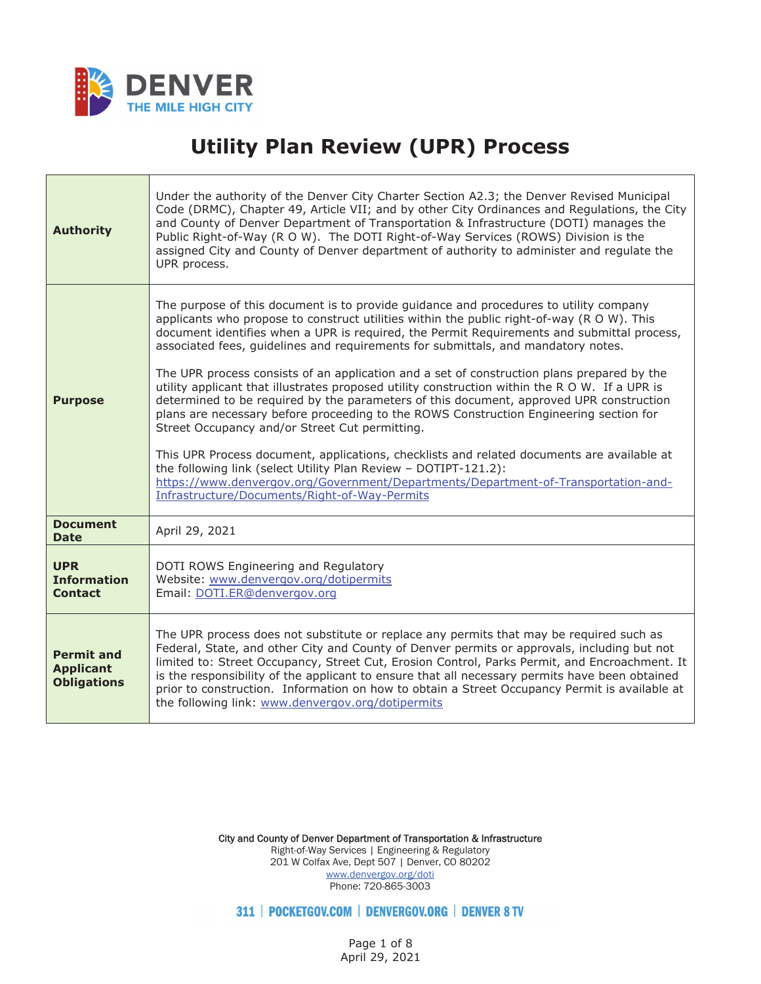

## **Utility Plan Review (UPR) Process**

| <b>Authority</b>                                            | Under the authority of the Denver City Charter Section A2.3; the Denver Revised Municipal<br>Code (DRMC), Chapter 49, Article VII; and by other City Ordinances and Regulations, the City<br>and County of Denver Department of Transportation & Infrastructure (DOTI) manages the<br>Public Right-of-Way (R O W). The DOTI Right-of-Way Services (ROWS) Division is the<br>assigned City and County of Denver department of authority to administer and regulate the<br>UPR process.                                                                                                                                                                                                                                                                                                                                                                                                                                                                                                                                                                                                                                 |
|-------------------------------------------------------------|-----------------------------------------------------------------------------------------------------------------------------------------------------------------------------------------------------------------------------------------------------------------------------------------------------------------------------------------------------------------------------------------------------------------------------------------------------------------------------------------------------------------------------------------------------------------------------------------------------------------------------------------------------------------------------------------------------------------------------------------------------------------------------------------------------------------------------------------------------------------------------------------------------------------------------------------------------------------------------------------------------------------------------------------------------------------------------------------------------------------------|
| <b>Purpose</b>                                              | The purpose of this document is to provide guidance and procedures to utility company<br>applicants who propose to construct utilities within the public right-of-way (R O W). This<br>document identifies when a UPR is required, the Permit Requirements and submittal process,<br>associated fees, guidelines and requirements for submittals, and mandatory notes.<br>The UPR process consists of an application and a set of construction plans prepared by the<br>utility applicant that illustrates proposed utility construction within the R O W. If a UPR is<br>determined to be required by the parameters of this document, approved UPR construction<br>plans are necessary before proceeding to the ROWS Construction Engineering section for<br>Street Occupancy and/or Street Cut permitting.<br>This UPR Process document, applications, checklists and related documents are available at<br>the following link (select Utility Plan Review - DOTIPT-121.2):<br>https://www.denvergov.org/Government/Departments/Department-of-Transportation-and-<br>Infrastructure/Documents/Right-of-Way-Permits |
| <b>Document</b><br><b>Date</b>                              | April 29, 2021                                                                                                                                                                                                                                                                                                                                                                                                                                                                                                                                                                                                                                                                                                                                                                                                                                                                                                                                                                                                                                                                                                        |
| <b>UPR</b><br><b>Information</b><br><b>Contact</b>          | DOTI ROWS Engineering and Regulatory<br>Website: www.denvergov.org/dotipermits<br>Email: DOTI.ER@denvergov.org                                                                                                                                                                                                                                                                                                                                                                                                                                                                                                                                                                                                                                                                                                                                                                                                                                                                                                                                                                                                        |
| <b>Permit and</b><br><b>Applicant</b><br><b>Obligations</b> | The UPR process does not substitute or replace any permits that may be required such as<br>Federal, State, and other City and County of Denver permits or approvals, including but not<br>limited to: Street Occupancy, Street Cut, Erosion Control, Parks Permit, and Encroachment. It<br>is the responsibility of the applicant to ensure that all necessary permits have been obtained<br>prior to construction. Information on how to obtain a Street Occupancy Permit is available at<br>the following link: www.denvergov.org/dotipermits                                                                                                                                                                                                                                                                                                                                                                                                                                                                                                                                                                       |

City and County of Denver Department of Transportation & Infrastructure Right-of-Way Services | Engineering & Regulatory 201 W Colfax Ave, Dept 507 | Denver, CO 80202 www.denvergov.org/doti Phone: 720-865-3003

311 | POCKETGOV.COM | DENVERGOV.ORG | DENVER 8 TV

Page 1 of 8 April 29, 2021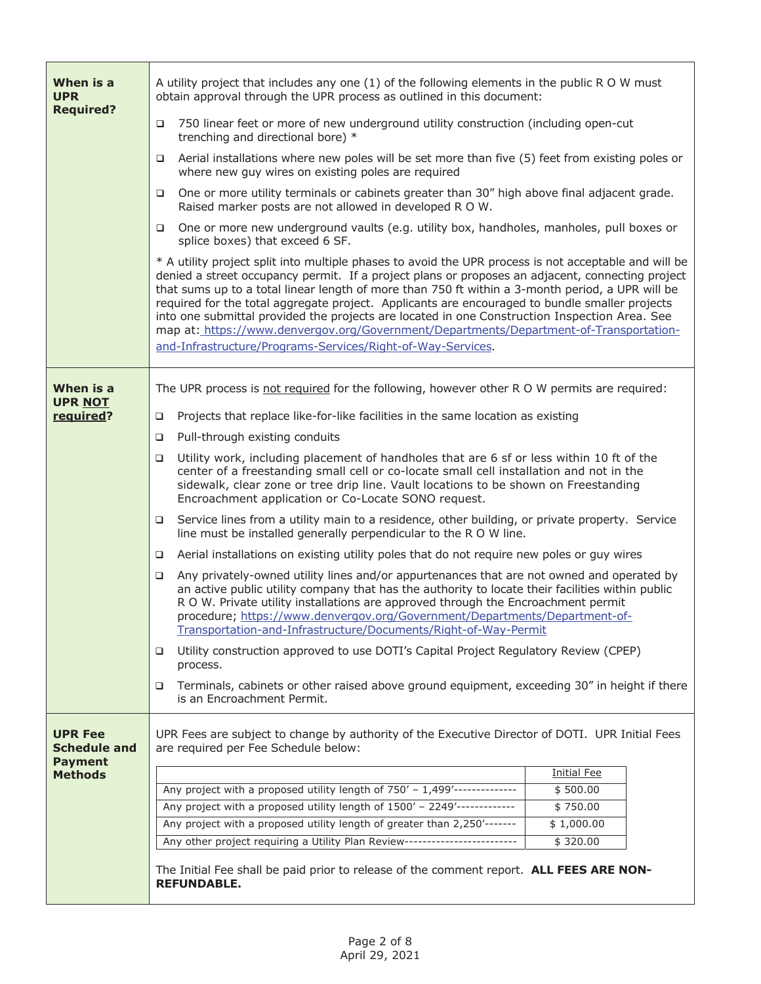| When is a<br><b>UPR</b>                                 | A utility project that includes any one (1) of the following elements in the public R O W must<br>obtain approval through the UPR process as outlined in this document:                                                                                                                                                                                                                                                                                                                                                                                                                                                                                                   |                        |  |
|---------------------------------------------------------|---------------------------------------------------------------------------------------------------------------------------------------------------------------------------------------------------------------------------------------------------------------------------------------------------------------------------------------------------------------------------------------------------------------------------------------------------------------------------------------------------------------------------------------------------------------------------------------------------------------------------------------------------------------------------|------------------------|--|
| <b>Required?</b>                                        | 750 linear feet or more of new underground utility construction (including open-cut<br>$\Box$<br>trenching and directional bore) *                                                                                                                                                                                                                                                                                                                                                                                                                                                                                                                                        |                        |  |
|                                                         | Aerial installations where new poles will be set more than five (5) feet from existing poles or<br>□<br>where new guy wires on existing poles are required                                                                                                                                                                                                                                                                                                                                                                                                                                                                                                                |                        |  |
|                                                         | One or more utility terminals or cabinets greater than 30" high above final adjacent grade.<br>□<br>Raised marker posts are not allowed in developed R O W.                                                                                                                                                                                                                                                                                                                                                                                                                                                                                                               |                        |  |
|                                                         | One or more new underground vaults (e.g. utility box, handholes, manholes, pull boxes or<br>□<br>splice boxes) that exceed 6 SF.                                                                                                                                                                                                                                                                                                                                                                                                                                                                                                                                          |                        |  |
|                                                         | * A utility project split into multiple phases to avoid the UPR process is not acceptable and will be<br>denied a street occupancy permit. If a project plans or proposes an adjacent, connecting project<br>that sums up to a total linear length of more than 750 ft within a 3-month period, a UPR will be<br>required for the total aggregate project. Applicants are encouraged to bundle smaller projects<br>into one submittal provided the projects are located in one Construction Inspection Area. See<br>map at: https://www.denvergov.org/Government/Departments/Department-of-Transportation-<br>and-Infrastructure/Programs-Services/Right-of-Way-Services. |                        |  |
| When is a                                               | The UPR process is not required for the following, however other R O W permits are required:                                                                                                                                                                                                                                                                                                                                                                                                                                                                                                                                                                              |                        |  |
| <b>UPR NOT</b>                                          |                                                                                                                                                                                                                                                                                                                                                                                                                                                                                                                                                                                                                                                                           |                        |  |
| required?                                               | Projects that replace like-for-like facilities in the same location as existing<br>o.                                                                                                                                                                                                                                                                                                                                                                                                                                                                                                                                                                                     |                        |  |
|                                                         | Pull-through existing conduits<br>$\Box$                                                                                                                                                                                                                                                                                                                                                                                                                                                                                                                                                                                                                                  |                        |  |
|                                                         | Utility work, including placement of handholes that are 6 sf or less within 10 ft of the<br>o.<br>center of a freestanding small cell or co-locate small cell installation and not in the<br>sidewalk, clear zone or tree drip line. Vault locations to be shown on Freestanding<br>Encroachment application or Co-Locate SONO request.                                                                                                                                                                                                                                                                                                                                   |                        |  |
|                                                         | Service lines from a utility main to a residence, other building, or private property. Service<br>□<br>line must be installed generally perpendicular to the R O W line.                                                                                                                                                                                                                                                                                                                                                                                                                                                                                                  |                        |  |
|                                                         | Aerial installations on existing utility poles that do not require new poles or guy wires<br>$\Box$                                                                                                                                                                                                                                                                                                                                                                                                                                                                                                                                                                       |                        |  |
|                                                         | Any privately-owned utility lines and/or appurtenances that are not owned and operated by<br>□<br>an active public utility company that has the authority to locate their facilities within public<br>R O W. Private utility installations are approved through the Encroachment permit<br>procedure; https://www.denvergov.org/Government/Departments/Department-of-<br>Transportation-and-Infrastructure/Documents/Right-of-Way-Permit                                                                                                                                                                                                                                  |                        |  |
|                                                         | Utility construction approved to use DOTI's Capital Project Regulatory Review (CPEP)<br>□<br>process.                                                                                                                                                                                                                                                                                                                                                                                                                                                                                                                                                                     |                        |  |
|                                                         | Terminals, cabinets or other raised above ground equipment, exceeding 30" in height if there<br>❏<br>is an Encroachment Permit.                                                                                                                                                                                                                                                                                                                                                                                                                                                                                                                                           |                        |  |
| <b>UPR Fee</b><br><b>Schedule and</b><br><b>Payment</b> | UPR Fees are subject to change by authority of the Executive Director of DOTI. UPR Initial Fees<br>are required per Fee Schedule below:                                                                                                                                                                                                                                                                                                                                                                                                                                                                                                                                   |                        |  |
| <b>Methods</b>                                          |                                                                                                                                                                                                                                                                                                                                                                                                                                                                                                                                                                                                                                                                           | <b>Initial Fee</b>     |  |
|                                                         | Any project with a proposed utility length of 750' - 1,499'--------------                                                                                                                                                                                                                                                                                                                                                                                                                                                                                                                                                                                                 | \$500.00               |  |
|                                                         | Any project with a proposed utility length of 1500' - 2249'-------------<br>$\frac{1}{2}$ 750.00<br>Any project with a proposed utility length of greater than 2,250'-------                                                                                                                                                                                                                                                                                                                                                                                                                                                                                              |                        |  |
|                                                         | Any other project requiring a Utility Plan Review-------------------------                                                                                                                                                                                                                                                                                                                                                                                                                                                                                                                                                                                                | \$1,000.00<br>\$320.00 |  |
|                                                         |                                                                                                                                                                                                                                                                                                                                                                                                                                                                                                                                                                                                                                                                           |                        |  |
|                                                         | The Initial Fee shall be paid prior to release of the comment report. ALL FEES ARE NON-<br><b>REFUNDABLE.</b>                                                                                                                                                                                                                                                                                                                                                                                                                                                                                                                                                             |                        |  |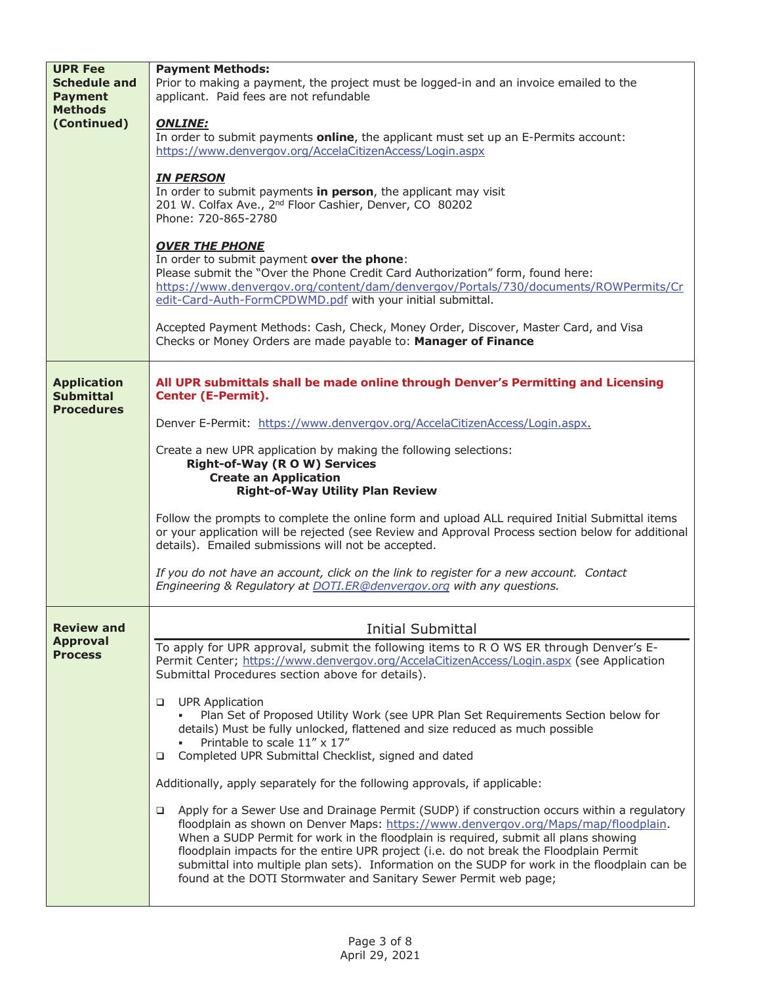| <b>UPR Fee</b><br><b>Schedule and</b><br><b>Payment</b><br><b>Methods</b><br>(Continued) | <b>Payment Methods:</b><br>Prior to making a payment, the project must be logged-in and an invoice emailed to the<br>applicant. Paid fees are not refundable<br><b>ONLINE:</b><br>In order to submit payments <b>online</b> , the applicant must set up an E-Permits account:<br>https://www.denvergov.org/AccelaCitizenAccess/Login.aspx<br><b>IN PERSON</b><br>In order to submit payments in person, the applicant may visit<br>201 W. Colfax Ave., 2 <sup>nd</sup> Floor Cashier, Denver, CO 80202<br>Phone: 720-865-2780<br><b>OVER THE PHONE</b><br>In order to submit payment over the phone:<br>Please submit the "Over the Phone Credit Card Authorization" form, found here:<br>https://www.denvergov.org/content/dam/denvergov/Portals/730/documents/ROWPermits/Cr<br>edit-Card-Auth-FormCPDWMD.pdf with your initial submittal.<br>Accepted Payment Methods: Cash, Check, Money Order, Discover, Master Card, and Visa<br>Checks or Money Orders are made payable to: Manager of Finance                                                                                                                                                                  |
|------------------------------------------------------------------------------------------|-----------------------------------------------------------------------------------------------------------------------------------------------------------------------------------------------------------------------------------------------------------------------------------------------------------------------------------------------------------------------------------------------------------------------------------------------------------------------------------------------------------------------------------------------------------------------------------------------------------------------------------------------------------------------------------------------------------------------------------------------------------------------------------------------------------------------------------------------------------------------------------------------------------------------------------------------------------------------------------------------------------------------------------------------------------------------------------------------------------------------------------------------------------------------|
| <b>Application</b><br><b>Submittal</b><br><b>Procedures</b>                              | All UPR submittals shall be made online through Denver's Permitting and Licensing<br><b>Center (E-Permit).</b><br>Denver E-Permit: https://www.denvergov.org/AccelaCitizenAccess/Login.aspx.<br>Create a new UPR application by making the following selections:<br><b>Right-of-Way (ROW) Services</b><br><b>Create an Application</b><br><b>Right-of-Way Utility Plan Review</b><br>Follow the prompts to complete the online form and upload ALL required Initial Submittal items<br>or your application will be rejected (see Review and Approval Process section below for additional<br>details). Emailed submissions will not be accepted.<br>If you do not have an account, click on the link to register for a new account. Contact                                                                                                                                                                                                                                                                                                                                                                                                                           |
| <b>Review and</b>                                                                        | Engineering & Regulatory at DOTI.ER@denvergov.org with any questions.<br><b>Initial Submittal</b>                                                                                                                                                                                                                                                                                                                                                                                                                                                                                                                                                                                                                                                                                                                                                                                                                                                                                                                                                                                                                                                                     |
| <b>Approval</b><br><b>Process</b>                                                        | To apply for UPR approval, submit the following items to R O WS ER through Denver's E-<br>Permit Center; https://www.denvergov.org/AccelaCitizenAccess/Login.aspx (see Application<br>Submittal Procedures section above for details).<br><b>UPR Application</b><br>□<br>Plan Set of Proposed Utility Work (see UPR Plan Set Requirements Section below for<br>details) Must be fully unlocked, flattened and size reduced as much possible<br>Printable to scale 11" x 17"<br>Completed UPR Submittal Checklist, signed and dated<br>❏<br>Additionally, apply separately for the following approvals, if applicable:<br>Apply for a Sewer Use and Drainage Permit (SUDP) if construction occurs within a regulatory<br>❏<br>floodplain as shown on Denver Maps: https://www.denvergov.org/Maps/map/floodplain.<br>When a SUDP Permit for work in the floodplain is required, submit all plans showing<br>floodplain impacts for the entire UPR project (i.e. do not break the Floodplain Permit<br>submittal into multiple plan sets). Information on the SUDP for work in the floodplain can be<br>found at the DOTI Stormwater and Sanitary Sewer Permit web page; |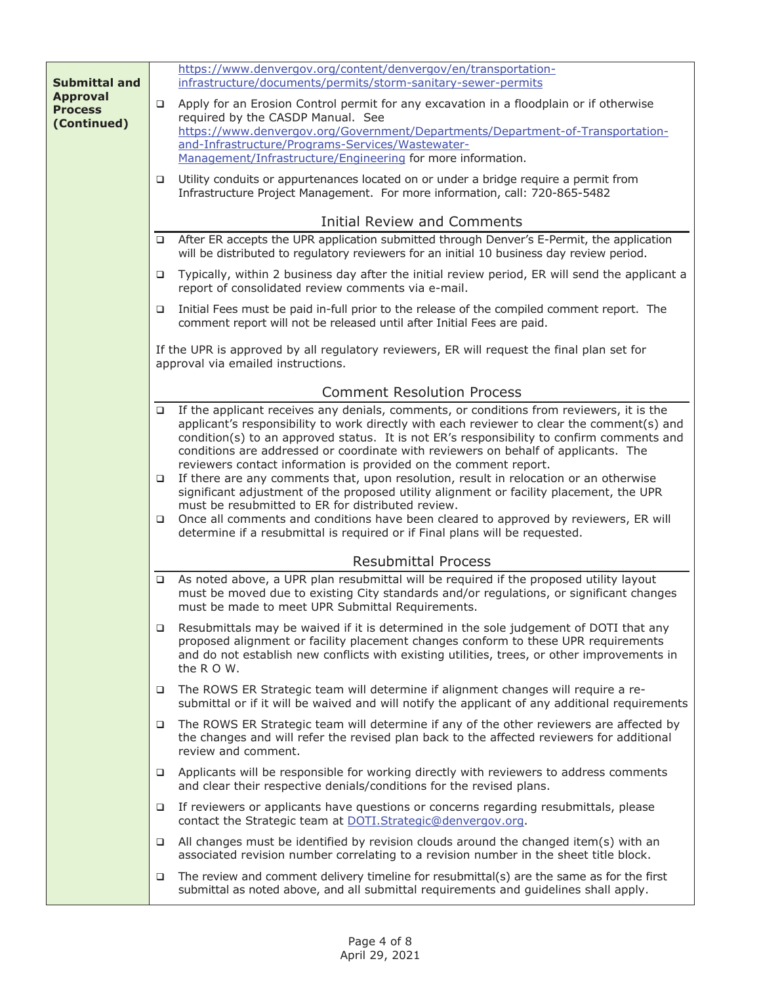|                                   |        | https://www.denvergov.org/content/denvergov/en/transportation-                                                                                                                                                                                                                           |
|-----------------------------------|--------|------------------------------------------------------------------------------------------------------------------------------------------------------------------------------------------------------------------------------------------------------------------------------------------|
| <b>Submittal and</b>              |        | infrastructure/documents/permits/storm-sanitary-sewer-permits                                                                                                                                                                                                                            |
| <b>Approval</b><br><b>Process</b> | □      | Apply for an Erosion Control permit for any excavation in a floodplain or if otherwise                                                                                                                                                                                                   |
| (Continued)                       |        | required by the CASDP Manual. See                                                                                                                                                                                                                                                        |
|                                   |        | https://www.denvergov.org/Government/Departments/Department-of-Transportation-                                                                                                                                                                                                           |
|                                   |        | and-Infrastructure/Programs-Services/Wastewater-<br>Management/Infrastructure/Engineering for more information.                                                                                                                                                                          |
|                                   |        |                                                                                                                                                                                                                                                                                          |
|                                   | ❏      | Utility conduits or appurtenances located on or under a bridge require a permit from<br>Infrastructure Project Management. For more information, call: 720-865-5482                                                                                                                      |
|                                   |        | <b>Initial Review and Comments</b>                                                                                                                                                                                                                                                       |
|                                   | □      | After ER accepts the UPR application submitted through Denver's E-Permit, the application<br>will be distributed to regulatory reviewers for an initial 10 business day review period.                                                                                                   |
|                                   | □      | Typically, within 2 business day after the initial review period, ER will send the applicant a<br>report of consolidated review comments via e-mail.                                                                                                                                     |
|                                   | ❏      | Initial Fees must be paid in-full prior to the release of the compiled comment report. The<br>comment report will not be released until after Initial Fees are paid.                                                                                                                     |
|                                   |        | If the UPR is approved by all regulatory reviewers, ER will request the final plan set for<br>approval via emailed instructions.                                                                                                                                                         |
|                                   |        | <b>Comment Resolution Process</b>                                                                                                                                                                                                                                                        |
|                                   | ❏      | If the applicant receives any denials, comments, or conditions from reviewers, it is the<br>applicant's responsibility to work directly with each reviewer to clear the comment(s) and                                                                                                   |
|                                   |        | condition(s) to an approved status. It is not ER's responsibility to confirm comments and<br>conditions are addressed or coordinate with reviewers on behalf of applicants. The                                                                                                          |
|                                   |        | reviewers contact information is provided on the comment report.                                                                                                                                                                                                                         |
|                                   | □      | If there are any comments that, upon resolution, result in relocation or an otherwise<br>significant adjustment of the proposed utility alignment or facility placement, the UPR                                                                                                         |
|                                   |        | must be resubmitted to ER for distributed review.                                                                                                                                                                                                                                        |
|                                   | □      | Once all comments and conditions have been cleared to approved by reviewers, ER will<br>determine if a resubmittal is required or if Final plans will be requested.                                                                                                                      |
|                                   |        | <b>Resubmittal Process</b>                                                                                                                                                                                                                                                               |
|                                   | $\Box$ | As noted above, a UPR plan resubmittal will be required if the proposed utility layout<br>must be moved due to existing City standards and/or regulations, or significant changes<br>must be made to meet UPR Submittal Requirements.                                                    |
|                                   | □      | Resubmittals may be waived if it is determined in the sole judgement of DOTI that any<br>proposed alignment or facility placement changes conform to these UPR requirements<br>and do not establish new conflicts with existing utilities, trees, or other improvements in<br>the R O W. |
|                                   | ❏      | The ROWS ER Strategic team will determine if alignment changes will require a re-<br>submittal or if it will be waived and will notify the applicant of any additional requirements                                                                                                      |
|                                   | □      | The ROWS ER Strategic team will determine if any of the other reviewers are affected by<br>the changes and will refer the revised plan back to the affected reviewers for additional<br>review and comment.                                                                              |
|                                   | ❏      | Applicants will be responsible for working directly with reviewers to address comments<br>and clear their respective denials/conditions for the revised plans.                                                                                                                           |
|                                   | □      | If reviewers or applicants have questions or concerns regarding resubmittals, please<br>contact the Strategic team at DOTI.Strategic@denvergov.org.                                                                                                                                      |
|                                   | □      | All changes must be identified by revision clouds around the changed item(s) with an<br>associated revision number correlating to a revision number in the sheet title block.                                                                                                            |
|                                   | ❏      | The review and comment delivery timeline for resubmittal(s) are the same as for the first<br>submittal as noted above, and all submittal requirements and guidelines shall apply.                                                                                                        |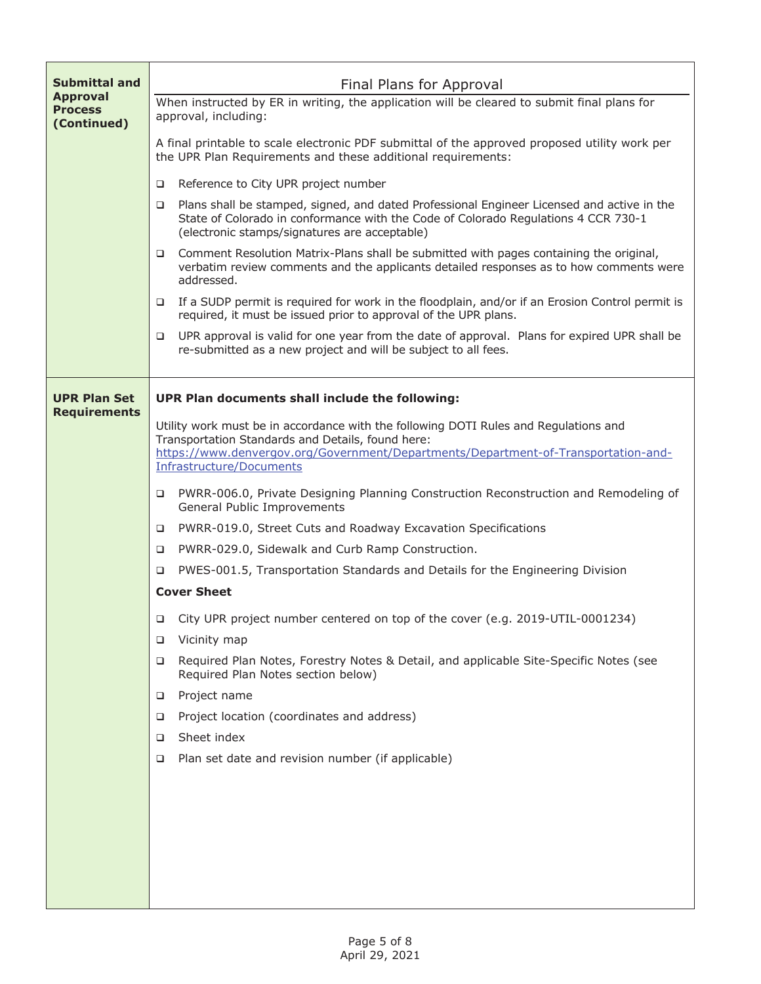| <b>Submittal and</b>              | Final Plans for Approval<br>When instructed by ER in writing, the application will be cleared to submit final plans for<br>approval, including:                                                                                        |  |
|-----------------------------------|----------------------------------------------------------------------------------------------------------------------------------------------------------------------------------------------------------------------------------------|--|
| <b>Approval</b><br><b>Process</b> |                                                                                                                                                                                                                                        |  |
| (Continued)                       | A final printable to scale electronic PDF submittal of the approved proposed utility work per<br>the UPR Plan Requirements and these additional requirements:                                                                          |  |
|                                   | Reference to City UPR project number<br>□                                                                                                                                                                                              |  |
|                                   | Plans shall be stamped, signed, and dated Professional Engineer Licensed and active in the<br>□<br>State of Colorado in conformance with the Code of Colorado Regulations 4 CCR 730-1<br>(electronic stamps/signatures are acceptable) |  |
|                                   | Comment Resolution Matrix-Plans shall be submitted with pages containing the original,<br>▫<br>verbatim review comments and the applicants detailed responses as to how comments were<br>addressed.                                    |  |
|                                   | If a SUDP permit is required for work in the floodplain, and/or if an Erosion Control permit is<br>□<br>required, it must be issued prior to approval of the UPR plans.                                                                |  |
|                                   | UPR approval is valid for one year from the date of approval. Plans for expired UPR shall be<br>□<br>re-submitted as a new project and will be subject to all fees.                                                                    |  |
| <b>UPR Plan Set</b>               | UPR Plan documents shall include the following:                                                                                                                                                                                        |  |
| <b>Requirements</b>               |                                                                                                                                                                                                                                        |  |
|                                   | Utility work must be in accordance with the following DOTI Rules and Regulations and<br>Transportation Standards and Details, found here:<br>https://www.denvergov.org/Government/Departments/Department-of-Transportation-and-        |  |
|                                   | Infrastructure/Documents                                                                                                                                                                                                               |  |
|                                   | PWRR-006.0, Private Designing Planning Construction Reconstruction and Remodeling of<br>❏<br>General Public Improvements                                                                                                               |  |
|                                   | PWRR-019.0, Street Cuts and Roadway Excavation Specifications<br>□                                                                                                                                                                     |  |
|                                   | PWRR-029.0, Sidewalk and Curb Ramp Construction.<br>□                                                                                                                                                                                  |  |
|                                   | PWES-001.5, Transportation Standards and Details for the Engineering Division<br>□                                                                                                                                                     |  |
|                                   | <b>Cover Sheet</b>                                                                                                                                                                                                                     |  |
|                                   | City UPR project number centered on top of the cover (e.g. 2019-UTIL-0001234)<br>□                                                                                                                                                     |  |
|                                   | Vicinity map<br>□                                                                                                                                                                                                                      |  |
|                                   | Required Plan Notes, Forestry Notes & Detail, and applicable Site-Specific Notes (see<br>□<br>Required Plan Notes section below)                                                                                                       |  |
|                                   | Project name<br>□                                                                                                                                                                                                                      |  |
|                                   | Project location (coordinates and address)<br>□                                                                                                                                                                                        |  |
|                                   | Sheet index<br>□                                                                                                                                                                                                                       |  |
|                                   | Plan set date and revision number (if applicable)<br>❏                                                                                                                                                                                 |  |
|                                   |                                                                                                                                                                                                                                        |  |
|                                   |                                                                                                                                                                                                                                        |  |
|                                   |                                                                                                                                                                                                                                        |  |
|                                   |                                                                                                                                                                                                                                        |  |
|                                   |                                                                                                                                                                                                                                        |  |
|                                   |                                                                                                                                                                                                                                        |  |

Г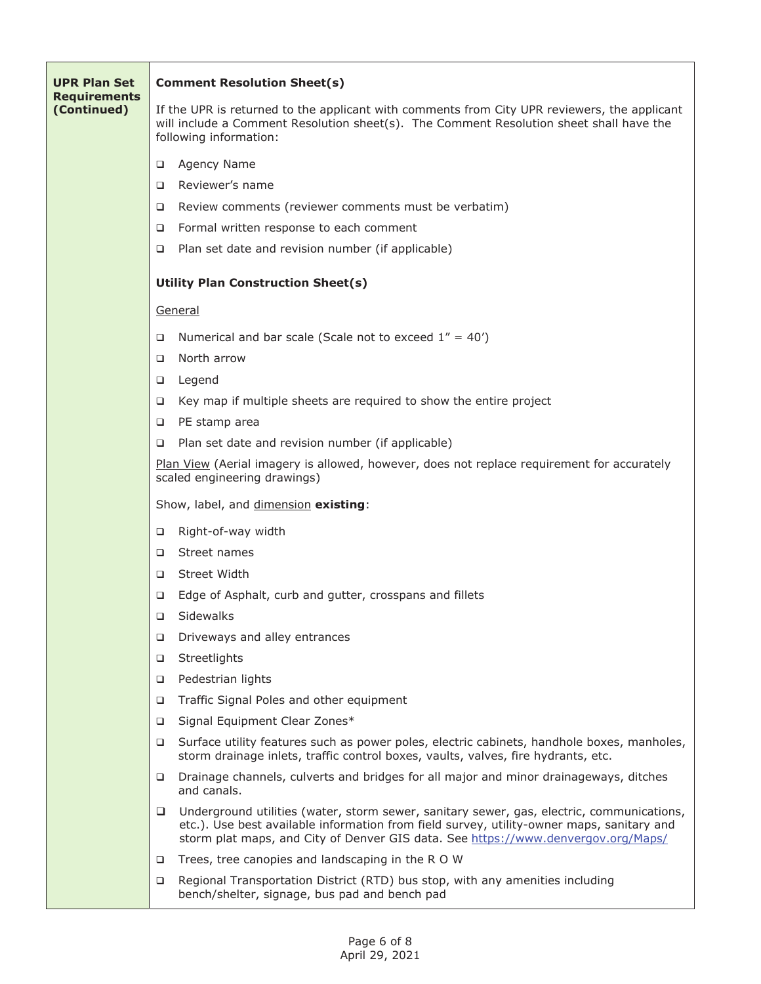| <b>UPR Plan Set</b>                | <b>Comment Resolution Sheet(s)</b>                                                                                                                                                                                                                                               |  |  |
|------------------------------------|----------------------------------------------------------------------------------------------------------------------------------------------------------------------------------------------------------------------------------------------------------------------------------|--|--|
| <b>Requirements</b><br>(Continued) | If the UPR is returned to the applicant with comments from City UPR reviewers, the applicant<br>will include a Comment Resolution sheet(s). The Comment Resolution sheet shall have the<br>following information:                                                                |  |  |
|                                    | Agency Name<br>❏                                                                                                                                                                                                                                                                 |  |  |
|                                    | Reviewer's name<br>□                                                                                                                                                                                                                                                             |  |  |
|                                    | Review comments (reviewer comments must be verbatim)<br>□                                                                                                                                                                                                                        |  |  |
|                                    | Formal written response to each comment<br>□                                                                                                                                                                                                                                     |  |  |
|                                    | Plan set date and revision number (if applicable)<br>□                                                                                                                                                                                                                           |  |  |
|                                    | <b>Utility Plan Construction Sheet(s)</b>                                                                                                                                                                                                                                        |  |  |
|                                    | General                                                                                                                                                                                                                                                                          |  |  |
|                                    | Numerical and bar scale (Scale not to exceed $1'' = 40'$ )<br>□                                                                                                                                                                                                                  |  |  |
|                                    | North arrow<br>□                                                                                                                                                                                                                                                                 |  |  |
|                                    | Legend<br>□                                                                                                                                                                                                                                                                      |  |  |
|                                    | Key map if multiple sheets are required to show the entire project<br>□                                                                                                                                                                                                          |  |  |
|                                    | PE stamp area<br>□                                                                                                                                                                                                                                                               |  |  |
|                                    | Plan set date and revision number (if applicable)<br>□                                                                                                                                                                                                                           |  |  |
|                                    | Plan View (Aerial imagery is allowed, however, does not replace requirement for accurately<br>scaled engineering drawings)                                                                                                                                                       |  |  |
|                                    | Show, label, and dimension existing:                                                                                                                                                                                                                                             |  |  |
|                                    | Right-of-way width<br>□                                                                                                                                                                                                                                                          |  |  |
|                                    | Street names<br>□                                                                                                                                                                                                                                                                |  |  |
|                                    | Street Width<br>□                                                                                                                                                                                                                                                                |  |  |
|                                    | Edge of Asphalt, curb and gutter, crosspans and fillets<br>□                                                                                                                                                                                                                     |  |  |
|                                    | Sidewalks<br>о                                                                                                                                                                                                                                                                   |  |  |
|                                    | Driveways and alley entrances<br>□                                                                                                                                                                                                                                               |  |  |
|                                    | Streetlights<br>□                                                                                                                                                                                                                                                                |  |  |
|                                    | Pedestrian lights<br>□                                                                                                                                                                                                                                                           |  |  |
|                                    | Traffic Signal Poles and other equipment<br>$\Box$                                                                                                                                                                                                                               |  |  |
|                                    | Signal Equipment Clear Zones*<br>$\Box$                                                                                                                                                                                                                                          |  |  |
|                                    | Surface utility features such as power poles, electric cabinets, handhole boxes, manholes,<br>$\Box$<br>storm drainage inlets, traffic control boxes, vaults, valves, fire hydrants, etc.                                                                                        |  |  |
|                                    | Drainage channels, culverts and bridges for all major and minor drainageways, ditches<br>□<br>and canals.                                                                                                                                                                        |  |  |
|                                    | Underground utilities (water, storm sewer, sanitary sewer, gas, electric, communications,<br>□<br>etc.). Use best available information from field survey, utility-owner maps, sanitary and<br>storm plat maps, and City of Denver GIS data. See https://www.denvergov.org/Maps/ |  |  |
|                                    | Trees, tree canopies and landscaping in the R O W<br>□                                                                                                                                                                                                                           |  |  |
|                                    | Regional Transportation District (RTD) bus stop, with any amenities including<br>$\Box$<br>bench/shelter, signage, bus pad and bench pad                                                                                                                                         |  |  |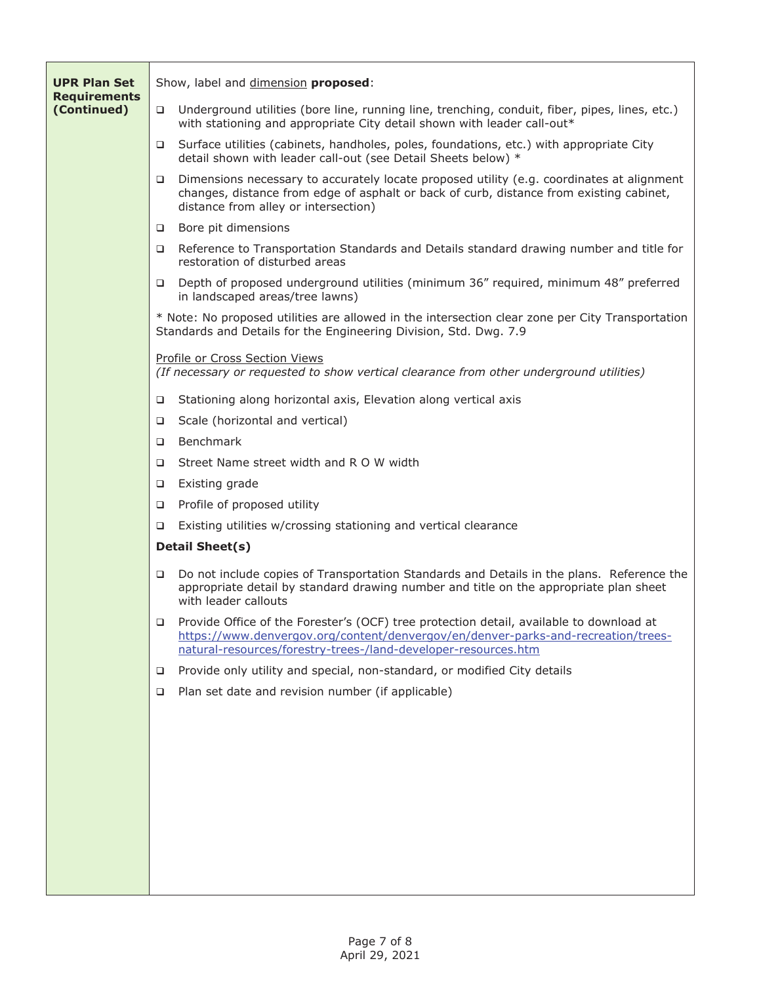| <b>UPR Plan Set</b><br><b>Requirements</b> |                        | Show, label and dimension proposed:                                                                                                                                                                                                            |  |
|--------------------------------------------|------------------------|------------------------------------------------------------------------------------------------------------------------------------------------------------------------------------------------------------------------------------------------|--|
| (Continued)                                | $\Box$                 | Underground utilities (bore line, running line, trenching, conduit, fiber, pipes, lines, etc.)<br>with stationing and appropriate City detail shown with leader call-out*                                                                      |  |
|                                            | $\Box$                 | Surface utilities (cabinets, handholes, poles, foundations, etc.) with appropriate City<br>detail shown with leader call-out (see Detail Sheets below) *                                                                                       |  |
|                                            | $\Box$                 | Dimensions necessary to accurately locate proposed utility (e.g. coordinates at alignment<br>changes, distance from edge of asphalt or back of curb, distance from existing cabinet,<br>distance from alley or intersection)                   |  |
|                                            | $\Box$                 | Bore pit dimensions                                                                                                                                                                                                                            |  |
|                                            |                        | Reference to Transportation Standards and Details standard drawing number and title for<br>restoration of disturbed areas                                                                                                                      |  |
|                                            | □                      | Depth of proposed underground utilities (minimum 36" required, minimum 48" preferred<br>in landscaped areas/tree lawns)                                                                                                                        |  |
|                                            |                        | * Note: No proposed utilities are allowed in the intersection clear zone per City Transportation<br>Standards and Details for the Engineering Division, Std. Dwg. 7.9                                                                          |  |
|                                            |                        | Profile or Cross Section Views<br>(If necessary or requested to show vertical clearance from other underground utilities)                                                                                                                      |  |
|                                            | ▫                      | Stationing along horizontal axis, Elevation along vertical axis                                                                                                                                                                                |  |
|                                            | $\Box$                 | Scale (horizontal and vertical)                                                                                                                                                                                                                |  |
|                                            | ▫                      | Benchmark                                                                                                                                                                                                                                      |  |
|                                            | ▫                      | Street Name street width and R O W width                                                                                                                                                                                                       |  |
|                                            | $\Box$                 | Existing grade                                                                                                                                                                                                                                 |  |
|                                            | $\Box$                 | Profile of proposed utility                                                                                                                                                                                                                    |  |
|                                            | □                      | Existing utilities w/crossing stationing and vertical clearance                                                                                                                                                                                |  |
|                                            | <b>Detail Sheet(s)</b> |                                                                                                                                                                                                                                                |  |
|                                            | $\Box$                 | Do not include copies of Transportation Standards and Details in the plans. Reference the<br>appropriate detail by standard drawing number and title on the appropriate plan sheet<br>with leader callouts                                     |  |
|                                            | $\Box$                 | Provide Office of the Forester's (OCF) tree protection detail, available to download at<br>https://www.denvergov.org/content/denvergov/en/denver-parks-and-recreation/trees-<br>natural-resources/forestry-trees-/land-developer-resources.htm |  |
|                                            | □                      | Provide only utility and special, non-standard, or modified City details                                                                                                                                                                       |  |
|                                            | $\Box$                 | Plan set date and revision number (if applicable)                                                                                                                                                                                              |  |
|                                            |                        |                                                                                                                                                                                                                                                |  |
|                                            |                        |                                                                                                                                                                                                                                                |  |
|                                            |                        |                                                                                                                                                                                                                                                |  |
|                                            |                        |                                                                                                                                                                                                                                                |  |
|                                            |                        |                                                                                                                                                                                                                                                |  |
|                                            |                        |                                                                                                                                                                                                                                                |  |
|                                            |                        |                                                                                                                                                                                                                                                |  |
|                                            |                        |                                                                                                                                                                                                                                                |  |
|                                            |                        |                                                                                                                                                                                                                                                |  |